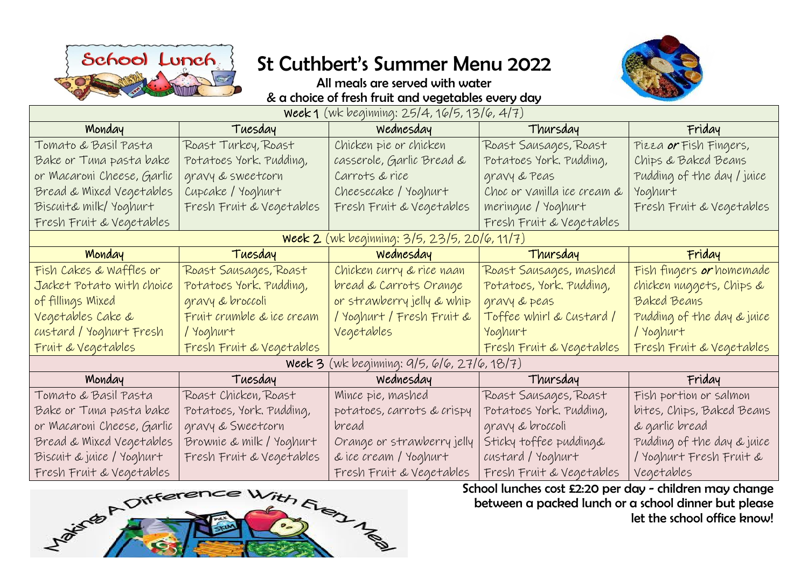

## St Cuthbert's Summer Menu 2022



All meals are served with water & a choice of fresh fruit and vegetables every day

| week 1 (wk beginning: 25/4, 16/5, 13/6, 4/7) |                           |                                             |                             |                               |  |  |  |  |  |  |  |
|----------------------------------------------|---------------------------|---------------------------------------------|-----------------------------|-------------------------------|--|--|--|--|--|--|--|
| Monday                                       | Tuesday                   | <b>Example 19</b> Wednesday                 | Thursday                    | Friday                        |  |  |  |  |  |  |  |
| Tomato & Basil Pasta                         | Roast Turkey, Roast       | Chicken pie or chicken                      | Roast Sausages, Roast       | Pizza <b>or</b> Fish Fingers, |  |  |  |  |  |  |  |
| Bake or Tuna pasta bake                      | Potatoes York. Pudding,   | casserole, Garlic Bread &                   | Potatoes York. Pudding,     | Chips & Baked Beans           |  |  |  |  |  |  |  |
| or Macaroni Cheese, Garlic                   | gravy & sweetcorn         | Carrots & rice                              | gravy & Peas                | Pudding of the day / juice    |  |  |  |  |  |  |  |
| Bread & Mixed Vegetables                     | Cupcake / Yoghurt         | Cheesecake / Yoghurt                        | Choc or vanilla ice cream & | Yoghurt                       |  |  |  |  |  |  |  |
| Biscuit& milk/ Yoghurt                       | Fresh Fruit & Vegetables  | Fresh Fruit & Vegetables                    | meringue / Yoghurt          | Fresh Fruit & Vegetables      |  |  |  |  |  |  |  |
| Fresh Fruit & Vegetables                     |                           |                                             | Fresh Fruit & Vegetables    |                               |  |  |  |  |  |  |  |
| Week 2 (wk beginning: 3/5, 23/5, 20/6, 11/7) |                           |                                             |                             |                               |  |  |  |  |  |  |  |
| Monday                                       | Tuesday                   | <u>n a wednesday</u>                        | Thursday                    | Friday                        |  |  |  |  |  |  |  |
| Fish Cakes & Waffles or                      | Roast Sausages, Roast     | Chicken curry & rice naan                   | Roast Sausages, mashed      | Fish fingers or homemade      |  |  |  |  |  |  |  |
| Jacket Potato with choice                    | Potatoes York. Pudding,   | bread & Carrots Orange                      | Potatoes, York. Pudding,    | chicken nuggets, Chips &      |  |  |  |  |  |  |  |
| of fillings Mixed                            | gravy & broccoli          | or strawberry jelly & whip                  | gravy & peas                | Baked Beans                   |  |  |  |  |  |  |  |
| Vegetables Cake &                            | Fruit crumble & ice cream | / Yoghurt / Fresh Fruit &                   | Toffee whirl & Custard /    | Pudding of the day & juice    |  |  |  |  |  |  |  |
| custard / Yoghurt Fresh                      | / Yoghurt                 | Vegetables                                  | Yoghurt                     | / Yoghurt                     |  |  |  |  |  |  |  |
| Fruit & Vegetables                           | Fresh Fruit & Vegetables  |                                             | Fresh Fruit & Vegetables    | Fresh Fruit & Vegetables      |  |  |  |  |  |  |  |
|                                              |                           | week 3 (wk beginning: 9/5, 6/6, 27/6, 18/7) |                             |                               |  |  |  |  |  |  |  |
| Monday                                       | Tuesday                   | wednesday                                   | Thursday                    | Friday                        |  |  |  |  |  |  |  |
| Tomato & Basil Pasta                         | Roast Chicken, Roast      | Mince pie, mashed                           | Roast Sausages, Roast       | Fish portion or salmon        |  |  |  |  |  |  |  |
| Bake or Tuna pasta bake                      | Potatoes, York. Pudding,  | potatoes, carrots & crispy                  | Potatoes York. Pudding,     | bites, Chips, Baked Beans     |  |  |  |  |  |  |  |
| or Macaroni Cheese, Garlic                   | gravy & Sweetcorn         | bread                                       | gravy & broccoli            | & garlic bread                |  |  |  |  |  |  |  |
| Bread & Mixed Vegetables                     | Brownie & milk / Yoghurt  | Orange or strawberry jelly                  | Sticky toffee pudding&      | Pudding of the day & juice    |  |  |  |  |  |  |  |
| Biscuit & juice / Yoghurt                    | Fresh Fruit & Vegetables  | & ice cream / Yoghurt                       | custard/Yoghurt             | / Yoghurt Fresh Fruit &       |  |  |  |  |  |  |  |
| Fresh Fruit & Vegetables                     |                           | Fresh Fruit & Vegetables                    | Fresh Fruit & Vegetables    | Vegetables                    |  |  |  |  |  |  |  |



School lunches cost £2:20 per day - children may change between a packed lunch or a school dinner but please let the school office know!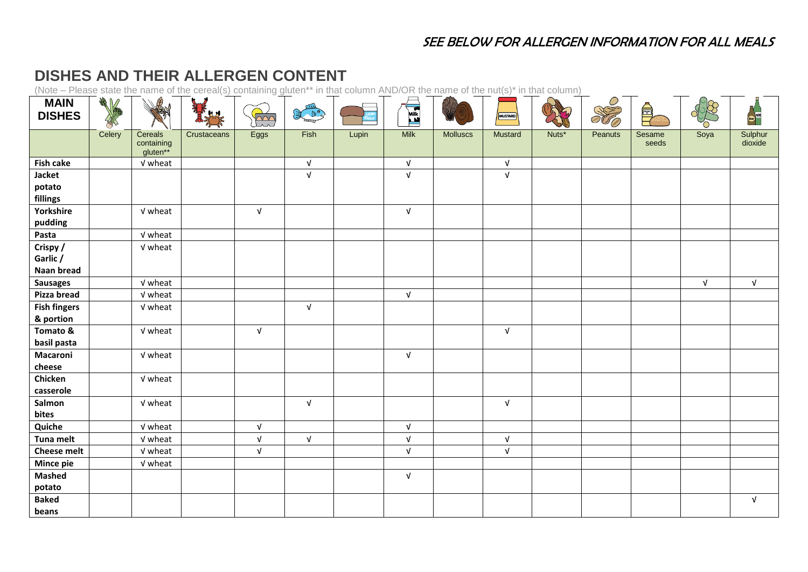## SEE BELOW FOR ALLERGEN INFORMATION FOR ALL MEALS

## **DISHES AND THEIR ALLERGEN CONTENT**

(Note – Please state the name of the cereal(s) containing gluten\*\* in that column AND/OR the name of the nut(s)\* in that column)

| <b>MAIN</b><br><b>DISHES</b>       | 美化     | <b>PB</b>                         | $\mathbf{R}$ | $\overline{\sim}$<br>$\overline{\phantom{a}}$ | <b>COLLES</b> |       | <b>ARTICIPAL</b> |                 | <b>MUSTARD</b> |       | NO      | Ş               |            | <b>CONTROL</b>     |
|------------------------------------|--------|-----------------------------------|--------------|-----------------------------------------------|---------------|-------|------------------|-----------------|----------------|-------|---------|-----------------|------------|--------------------|
|                                    | Celery | Cereals<br>containing<br>gluten** | Crustaceans  | Eggs                                          | Fish          | Lupin | <b>Milk</b>      | <b>Molluscs</b> | <b>Mustard</b> | Nuts* | Peanuts | Sesame<br>seeds | Soya       | Sulphur<br>dioxide |
| <b>Fish cake</b>                   |        | V wheat                           |              |                                               | $\sqrt{ }$    |       | $\sqrt{ }$       |                 | $\sqrt{ }$     |       |         |                 |            |                    |
| Jacket<br>potato<br>fillings       |        |                                   |              |                                               | $\sqrt{ }$    |       | $\sqrt{ }$       |                 | $\sqrt{ }$     |       |         |                 |            |                    |
| Yorkshire<br>pudding               |        | V wheat                           |              | $\sqrt{ }$                                    |               |       | $\sqrt{ }$       |                 |                |       |         |                 |            |                    |
| Pasta                              |        | V wheat                           |              |                                               |               |       |                  |                 |                |       |         |                 |            |                    |
| Crispy /<br>Garlic /<br>Naan bread |        | V wheat                           |              |                                               |               |       |                  |                 |                |       |         |                 |            |                    |
| <b>Sausages</b>                    |        | V wheat                           |              |                                               |               |       |                  |                 |                |       |         |                 | $\sqrt{ }$ | $\sqrt{ }$         |
| Pizza bread                        |        | V wheat                           |              |                                               |               |       | $\sqrt{ }$       |                 |                |       |         |                 |            |                    |
| <b>Fish fingers</b><br>& portion   |        | V wheat                           |              |                                               | $\sqrt{ }$    |       |                  |                 |                |       |         |                 |            |                    |
| Tomato &<br>basil pasta            |        | V wheat                           |              | $\sqrt{ }$                                    |               |       |                  |                 | $\sqrt{ }$     |       |         |                 |            |                    |
| Macaroni<br>cheese                 |        | V wheat                           |              |                                               |               |       | $\sqrt{ }$       |                 |                |       |         |                 |            |                    |
| Chicken<br>casserole               |        | V wheat                           |              |                                               |               |       |                  |                 |                |       |         |                 |            |                    |
| Salmon<br>bites                    |        | V wheat                           |              |                                               | $\sqrt{ }$    |       |                  |                 | $\sqrt{ }$     |       |         |                 |            |                    |
| Quiche                             |        | V wheat                           |              | $\sqrt{ }$                                    |               |       | $\sqrt{ }$       |                 |                |       |         |                 |            |                    |
| Tuna melt                          |        | V wheat                           |              | $\sqrt{ }$                                    | $\sqrt{ }$    |       | $\sqrt{ }$       |                 | $\sqrt{ }$     |       |         |                 |            |                    |
| <b>Cheese melt</b>                 |        | V wheat                           |              | $\sqrt{ }$                                    |               |       | $\sqrt{ }$       |                 | $\sqrt{ }$     |       |         |                 |            |                    |
| <b>Mince pie</b>                   |        | V wheat                           |              |                                               |               |       |                  |                 |                |       |         |                 |            |                    |
| <b>Mashed</b><br>potato            |        |                                   |              |                                               |               |       | $\sqrt{ }$       |                 |                |       |         |                 |            |                    |
| <b>Baked</b><br>beans              |        |                                   |              |                                               |               |       |                  |                 |                |       |         |                 |            | $\sqrt{ }$         |